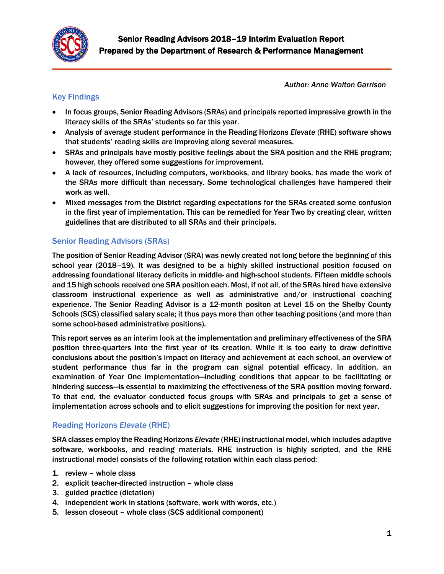

*Author: Anne Walton Garrison*

## Key Findings

- In focus groups, Senior Reading Advisors (SRAs) and principals reported impressive growth in the literacy skills of the SRAs' students so far this year.
- Analysis of average student performance in the Reading Horizons *Elevate* (RHE) software shows that students' reading skills are improving along several measures.
- SRAs and principals have mostly positive feelings about the SRA position and the RHE program; however, they offered some suggestions for improvement.
- A lack of resources, including computers, workbooks, and library books, has made the work of the SRAs more difficult than necessary. Some technological challenges have hampered their work as well.
- Mixed messages from the District regarding expectations for the SRAs created some confusion in the first year of implementation. This can be remedied for Year Two by creating clear, written guidelines that are distributed to all SRAs and their principals.

# Senior Reading Advisors (SRAs)

The position of Senior Reading Advisor (SRA) was newly created not long before the beginning of this school year (2018–19). It was designed to be a highly skilled instructional position focused on addressing foundational literacy deficits in middle- and high-school students. Fifteen middle schools and 15 high schools received one SRA position each. Most, if not all, of the SRAs hired have extensive classroom instructional experience as well as administrative and/or instructional coaching experience. The Senior Reading Advisor is a 12-month positon at Level 15 on the Shelby County Schools (SCS) classified salary scale; it thus pays more than other teaching positions (and more than some school-based administrative positions).

This report serves as an interim look at the implementation and preliminary effectiveness of the SRA position three-quarters into the first year of its creation. While it is too early to draw definitive conclusions about the position's impact on literacy and achievement at each school, an overview of student performance thus far in the program can signal potential efficacy. In addition, an examination of Year One implementation—including conditions that appear to be facilitating or hindering success—is essential to maximizing the effectiveness of the SRA position moving forward. To that end, the evaluator conducted focus groups with SRAs and principals to get a sense of implementation across schools and to elicit suggestions for improving the position for next year.

# Reading Horizons *Elevate* (RHE)

SRA classes employ the Reading Horizons *Elevate* (RHE) instructional model, which includes adaptive software, workbooks, and reading materials. RHE instruction is highly scripted, and the RHE instructional model consists of the following rotation within each class period:

- 1. review whole class
- 2. explicit teacher-directed instruction whole class
- 3. guided practice (dictation)
- 4. independent work in stations (software, work with words, etc.)
- 5. lesson closeout whole class (SCS additional component)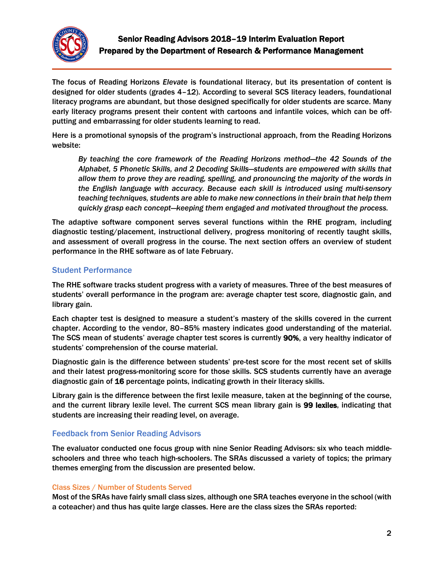

The focus of Reading Horizons *Elevate* is foundational literacy, but its presentation of content is designed for older students (grades 4–12). According to several SCS literacy leaders, foundational literacy programs are abundant, but those designed specifically for older students are scarce. Many early literacy programs present their content with cartoons and infantile voices, which can be offputting and embarrassing for older students learning to read.

Here is a promotional synopsis of the program's instructional approach, from the Reading Horizons website:

*By teaching the core framework of the Reading Horizons method—the 42 Sounds of the Alphabet, 5 Phonetic Skills, and 2 Decoding Skills—students are empowered with skills that allow them to prove they are reading, spelling, and pronouncing the majority of the words in the English language with accuracy. Because each skill is introduced using multi-sensory teaching techniques, students are able to make new connections in their brain that help them quickly grasp each concept—keeping them engaged and motivated throughout the process.*

The adaptive software component serves several functions within the RHE program, including diagnostic testing/placement, instructional delivery, progress monitoring of recently taught skills, and assessment of overall progress in the course. The next section offers an overview of student performance in the RHE software as of late February.

## Student Performance

The RHE software tracks student progress with a variety of measures. Three of the best measures of students' overall performance in the program are: average chapter test score, diagnostic gain, and library gain.

Each chapter test is designed to measure a student's mastery of the skills covered in the current chapter. According to the vendor, 80–85% mastery indicates good understanding of the material. The SCS mean of students' average chapter test scores is currently 90%, a very healthy indicator of students' comprehension of the course material.

Diagnostic gain is the difference between students' pre-test score for the most recent set of skills and their latest progress-monitoring score for those skills. SCS students currently have an average diagnostic gain of 16 percentage points, indicating growth in their literacy skills.

Library gain is the difference between the first lexile measure, taken at the beginning of the course, and the current library lexile level. The current SCS mean library gain is 99 lexiles, indicating that students are increasing their reading level, on average.

### Feedback from Senior Reading Advisors

The evaluator conducted one focus group with nine Senior Reading Advisors: six who teach middleschoolers and three who teach high-schoolers. The SRAs discussed a variety of topics; the primary themes emerging from the discussion are presented below.

### Class Sizes / Number of Students Served

Most of the SRAs have fairly small class sizes, although one SRA teaches everyone in the school (with a coteacher) and thus has quite large classes. Here are the class sizes the SRAs reported: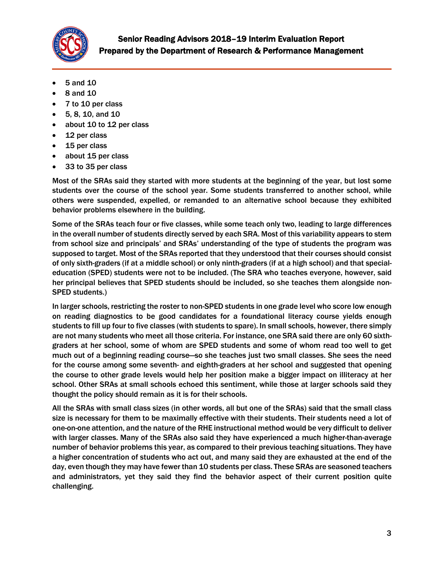

- 5 and 10
- 8 and 10
- 7 to 10 per class
- 5, 8, 10, and 10
- about 10 to 12 per class
- 12 per class
- 15 per class
- about 15 per class
- 33 to 35 per class

Most of the SRAs said they started with more students at the beginning of the year, but lost some students over the course of the school year. Some students transferred to another school, while others were suspended, expelled, or remanded to an alternative school because they exhibited behavior problems elsewhere in the building.

Some of the SRAs teach four or five classes, while some teach only two, leading to large differences in the overall number of students directly served by each SRA. Most of this variability appears to stem from school size and principals' and SRAs' understanding of the type of students the program was supposed to target. Most of the SRAs reported that they understood that their courses should consist of only sixth-graders (if at a middle school) or only ninth-graders (if at a high school) and that specialeducation (SPED) students were not to be included. (The SRA who teaches everyone, however, said her principal believes that SPED students should be included, so she teaches them alongside non-SPED students.)

In larger schools, restricting the roster to non-SPED students in one grade level who score low enough on reading diagnostics to be good candidates for a foundational literacy course yields enough students to fill up four to five classes (with students to spare). In small schools, however, there simply are not many students who meet all those criteria. For instance, one SRA said there are only 60 sixthgraders at her school, some of whom are SPED students and some of whom read too well to get much out of a beginning reading course—so she teaches just two small classes. She sees the need for the course among some seventh- and eighth-graders at her school and suggested that opening the course to other grade levels would help her position make a bigger impact on illiteracy at her school. Other SRAs at small schools echoed this sentiment, while those at larger schools said they thought the policy should remain as it is for their schools.

All the SRAs with small class sizes (in other words, all but one of the SRAs) said that the small class size is necessary for them to be maximally effective with their students. Their students need a lot of one-on-one attention, and the nature of the RHE instructional method would be very difficult to deliver with larger classes. Many of the SRAs also said they have experienced a much higher-than-average number of behavior problems this year, as compared to their previous teaching situations. They have a higher concentration of students who act out, and many said they are exhausted at the end of the day, even though they may have fewer than 10 students per class. These SRAs are seasoned teachers and administrators, yet they said they find the behavior aspect of their current position quite challenging.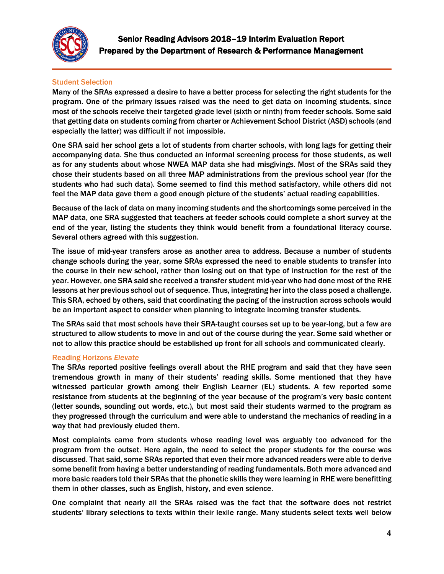

## Student Selection

Many of the SRAs expressed a desire to have a better process for selecting the right students for the program. One of the primary issues raised was the need to get data on incoming students, since most of the schools receive their targeted grade level (sixth or ninth) from feeder schools. Some said that getting data on students coming from charter or Achievement School District (ASD) schools (and especially the latter) was difficult if not impossible.

One SRA said her school gets a lot of students from charter schools, with long lags for getting their accompanying data. She thus conducted an informal screening process for those students, as well as for any students about whose NWEA MAP data she had misgivings. Most of the SRAs said they chose their students based on all three MAP administrations from the previous school year (for the students who had such data). Some seemed to find this method satisfactory, while others did not feel the MAP data gave them a good enough picture of the students' actual reading capabilities.

Because of the lack of data on many incoming students and the shortcomings some perceived in the MAP data, one SRA suggested that teachers at feeder schools could complete a short survey at the end of the year, listing the students they think would benefit from a foundational literacy course. Several others agreed with this suggestion.

The issue of mid-year transfers arose as another area to address. Because a number of students change schools during the year, some SRAs expressed the need to enable students to transfer into the course in their new school, rather than losing out on that type of instruction for the rest of the year. However, one SRA said she received a transfer student mid-year who had done most of the RHE lessons at her previous school out of sequence. Thus, integrating her into the class posed a challenge. This SRA, echoed by others, said that coordinating the pacing of the instruction across schools would be an important aspect to consider when planning to integrate incoming transfer students.

The SRAs said that most schools have their SRA-taught courses set up to be year-long, but a few are structured to allow students to move in and out of the course during the year. Some said whether or not to allow this practice should be established up front for all schools and communicated clearly.

### Reading Horizons *Elevate*

The SRAs reported positive feelings overall about the RHE program and said that they have seen tremendous growth in many of their students' reading skills. Some mentioned that they have witnessed particular growth among their English Learner (EL) students. A few reported some resistance from students at the beginning of the year because of the program's very basic content (letter sounds, sounding out words, etc.), but most said their students warmed to the program as they progressed through the curriculum and were able to understand the mechanics of reading in a way that had previously eluded them.

Most complaints came from students whose reading level was arguably too advanced for the program from the outset. Here again, the need to select the proper students for the course was discussed. That said, some SRAs reported that even their more advanced readers were able to derive some benefit from having a better understanding of reading fundamentals. Both more advanced and more basic readers told their SRAs that the phonetic skills they were learning in RHE were benefitting them in other classes, such as English, history, and even science.

One complaint that nearly all the SRAs raised was the fact that the software does not restrict students' library selections to texts within their lexile range. Many students select texts well below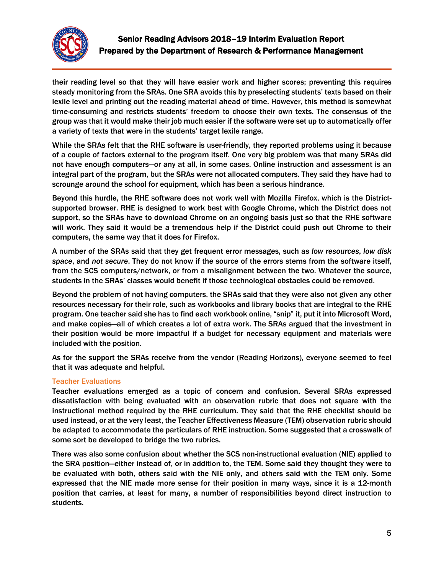

their reading level so that they will have easier work and higher scores; preventing this requires steady monitoring from the SRAs. One SRA avoids this by preselecting students' texts based on their lexile level and printing out the reading material ahead of time. However, this method is somewhat time-consuming and restricts students' freedom to choose their own texts. The consensus of the group was that it would make their job much easier if the software were set up to automatically offer a variety of texts that were in the students' target lexile range.

While the SRAs felt that the RHE software is user-friendly, they reported problems using it because of a couple of factors external to the program itself. One very big problem was that many SRAs did not have enough computers—or any at all, in some cases. Online instruction and assessment is an integral part of the program, but the SRAs were not allocated computers. They said they have had to scrounge around the school for equipment, which has been a serious hindrance.

Beyond this hurdle, the RHE software does not work well with Mozilla Firefox, which is the Districtsupported browser. RHE is designed to work best with Google Chrome, which the District does not support, so the SRAs have to download Chrome on an ongoing basis just so that the RHE software will work. They said it would be a tremendous help if the District could push out Chrome to their computers, the same way that it does for Firefox.

A number of the SRAs said that they get frequent error messages, such as *low resources*, *low disk space*, and *not secure*. They do not know if the source of the errors stems from the software itself, from the SCS computers/network, or from a misalignment between the two. Whatever the source, students in the SRAs' classes would benefit if those technological obstacles could be removed.

Beyond the problem of not having computers, the SRAs said that they were also not given any other resources necessary for their role, such as workbooks and library books that are integral to the RHE program. One teacher said she has to find each workbook online, "snip" it, put it into Microsoft Word, and make copies—all of which creates a lot of extra work. The SRAs argued that the investment in their position would be more impactful if a budget for necessary equipment and materials were included with the position.

As for the support the SRAs receive from the vendor (Reading Horizons), everyone seemed to feel that it was adequate and helpful.

### Teacher Evaluations

Teacher evaluations emerged as a topic of concern and confusion. Several SRAs expressed dissatisfaction with being evaluated with an observation rubric that does not square with the instructional method required by the RHE curriculum. They said that the RHE checklist should be used instead, or at the very least, the Teacher Effectiveness Measure (TEM) observation rubric should be adapted to accommodate the particulars of RHE instruction. Some suggested that a crosswalk of some sort be developed to bridge the two rubrics.

There was also some confusion about whether the SCS non-instructional evaluation (NIE) applied to the SRA position—either instead of, or in addition to, the TEM. Some said they thought they were to be evaluated with both, others said with the NIE only, and others said with the TEM only. Some expressed that the NIE made more sense for their position in many ways, since it is a 12-month position that carries, at least for many, a number of responsibilities beyond direct instruction to students.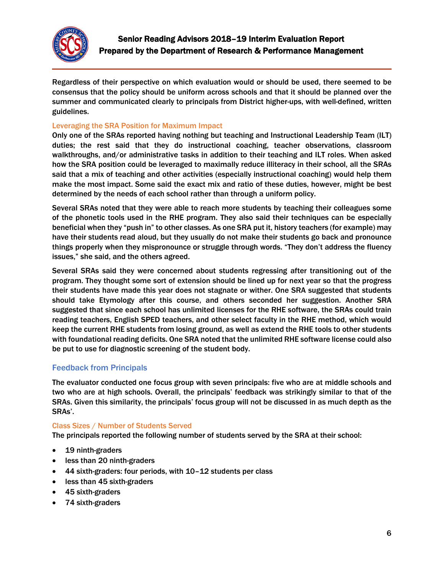

Regardless of their perspective on which evaluation would or should be used, there seemed to be consensus that the policy should be uniform across schools and that it should be planned over the summer and communicated clearly to principals from District higher-ups, with well-defined, written guidelines.

#### Leveraging the SRA Position for Maximum Impact

Only one of the SRAs reported having nothing but teaching and Instructional Leadership Team (ILT) duties; the rest said that they do instructional coaching, teacher observations, classroom walkthroughs, and/or administrative tasks in addition to their teaching and ILT roles. When asked how the SRA position could be leveraged to maximally reduce illiteracy in their school, all the SRAs said that a mix of teaching and other activities (especially instructional coaching) would help them make the most impact. Some said the exact mix and ratio of these duties, however, might be best determined by the needs of each school rather than through a uniform policy.

Several SRAs noted that they were able to reach more students by teaching their colleagues some of the phonetic tools used in the RHE program. They also said their techniques can be especially beneficial when they "push in" to other classes. As one SRA put it, history teachers (for example) may have their students read aloud, but they usually do not make their students go back and pronounce things properly when they mispronounce or struggle through words. "They don't address the fluency issues," she said, and the others agreed.

Several SRAs said they were concerned about students regressing after transitioning out of the program. They thought some sort of extension should be lined up for next year so that the progress their students have made this year does not stagnate or wither. One SRA suggested that students should take Etymology after this course, and others seconded her suggestion. Another SRA suggested that since each school has unlimited licenses for the RHE software, the SRAs could train reading teachers, English SPED teachers, and other select faculty in the RHE method, which would keep the current RHE students from losing ground, as well as extend the RHE tools to other students with foundational reading deficits. One SRA noted that the unlimited RHE software license could also be put to use for diagnostic screening of the student body.

### Feedback from Principals

The evaluator conducted one focus group with seven principals: five who are at middle schools and two who are at high schools. Overall, the principals' feedback was strikingly similar to that of the SRAs. Given this similarity, the principals' focus group will not be discussed in as much depth as the SRAs'.

#### Class Sizes / Number of Students Served

The principals reported the following number of students served by the SRA at their school:

- 19 ninth-graders
- less than 20 ninth-graders
- 44 sixth-graders: four periods, with 10–12 students per class
- less than 45 sixth-graders
- 45 sixth-graders
- 74 sixth-graders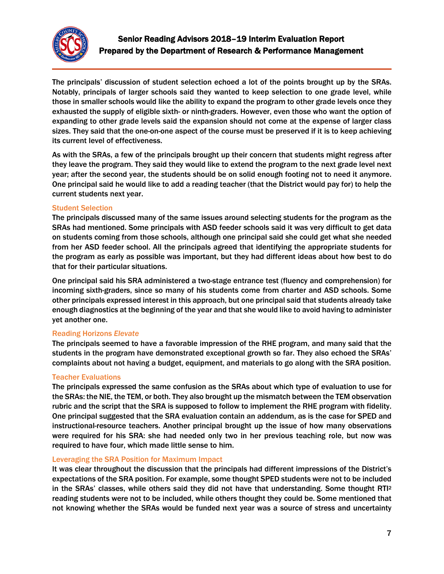

The principals' discussion of student selection echoed a lot of the points brought up by the SRAs. Notably, principals of larger schools said they wanted to keep selection to one grade level, while those in smaller schools would like the ability to expand the program to other grade levels once they exhausted the supply of eligible sixth- or ninth-graders. However, even those who want the option of expanding to other grade levels said the expansion should not come at the expense of larger class sizes. They said that the one-on-one aspect of the course must be preserved if it is to keep achieving its current level of effectiveness.

As with the SRAs, a few of the principals brought up their concern that students might regress after they leave the program. They said they would like to extend the program to the next grade level next year; after the second year, the students should be on solid enough footing not to need it anymore. One principal said he would like to add a reading teacher (that the District would pay for) to help the current students next year.

#### Student Selection

The principals discussed many of the same issues around selecting students for the program as the SRAs had mentioned. Some principals with ASD feeder schools said it was very difficult to get data on students coming from those schools, although one principal said she could get what she needed from her ASD feeder school. All the principals agreed that identifying the appropriate students for the program as early as possible was important, but they had different ideas about how best to do that for their particular situations.

One principal said his SRA administered a two-stage entrance test (fluency and comprehension) for incoming sixth-graders, since so many of his students come from charter and ASD schools. Some other principals expressed interest in this approach, but one principal said that students already take enough diagnostics at the beginning of the year and that she would like to avoid having to administer yet another one.

### Reading Horizons *Elevate*

The principals seemed to have a favorable impression of the RHE program, and many said that the students in the program have demonstrated exceptional growth so far. They also echoed the SRAs' complaints about not having a budget, equipment, and materials to go along with the SRA position.

### Teacher Evaluations

The principals expressed the same confusion as the SRAs about which type of evaluation to use for the SRAs: the NIE, the TEM, or both. They also brought up the mismatch between the TEM observation rubric and the script that the SRA is supposed to follow to implement the RHE program with fidelity. One principal suggested that the SRA evaluation contain an addendum, as is the case for SPED and instructional-resource teachers. Another principal brought up the issue of how many observations were required for his SRA: she had needed only two in her previous teaching role, but now was required to have four, which made little sense to him.

#### Leveraging the SRA Position for Maximum Impact

It was clear throughout the discussion that the principals had different impressions of the District's expectations of the SRA position. For example, some thought SPED students were not to be included in the SRAs' classes, while others said they did not have that understanding. Some thought RTI2 reading students were not to be included, while others thought they could be. Some mentioned that not knowing whether the SRAs would be funded next year was a source of stress and uncertainty